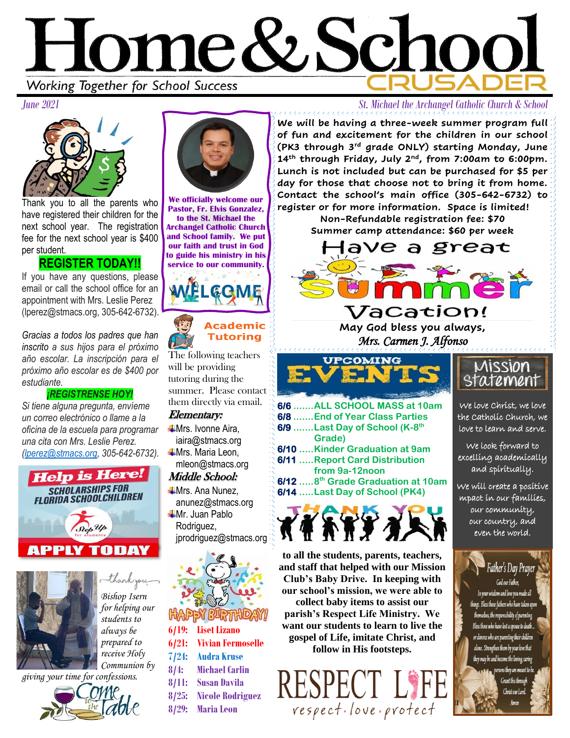# Home&Schoo **Working Together for School Success**



Thank you to all the parents who have registered their children for the next school year. The registration fee for the next school year is \$400 per student.

## **REGISTER TODAY!!**

If you have any questions, please email or call the school office for an appointment with Mrs. Leslie Perez (lperez@stmacs.org, 305-642-6732).

*Gracias a todos los padres que han inscrito a sus hijos para el próximo año escolar. La inscripción para el próximo año escolar es de \$400 por estudiante.* 

*¡REGISTRENSE HOY!*

*Si tiene alguna pregunta, envíeme un correo electrónico o llame a la oficina de la escuela para programar una cita con Mrs. Leslie Perez. [\(lperez@stmacs.org,](mailto:lperez@stmacs.org) 305-642-6732).*





thank you *Bishop Isern for helping our students to always be prepared to receive Holy Communion by* 

*giving your time for confessions.* 





**We officially welcome our Pastor, Fr. Elvis Gonzalez, to the St. Michael the Archangel Catholic Church and School family. We put our faith and trust in God to guide his ministry in his service to our community.**





The following teachers will be providing tutoring during the summer. Please contact them directly via email.

# Elementary:

- **+Mrs.** Ivonne Aira, iaira@stmacs.org **<sup>↓</sup>Mrs. Maria Leon,**
- mleon@stmacs.org Middle School:

- $\frac{1}{2}$ Mrs. Ana Nunez, anunez@stmacs.org **+Mr. Juan Pablo** 
	- Rodriguez, jprodriguez@stmacs.org



*June 2021 St. Michael the Archangel Catholic Church & School*

**We will be having a three-week summer program full of fun and excitement for the children in our school (PK3 through 3rd grade ONLY) starting Monday, June 14th through Friday, July 2nd, from 7:00am to 6:00pm. Lunch is not included but can be purchased for \$5 per day for those that choose not to bring it from home. Contact the school's main office (305-642-6732) to register or for more information. Space is limited!**

**Non-Refundable registration fee: \$70 Summer camp attendance: \$60 per week**



**May God bless you always,** *Mrs. Carmen J. Alfonso* 

**UPCOMING 6/6 .......ALL SCHOOL MASS at 10am 6/8 .......End of Year Class Parties 6/9 .......Last Day of School (K-8 th Grade) 6/10 .....Kinder Graduation at 9am 6/11 .....Report Card Distribution from 9a-12noon 6/12 .....8 th Grade Graduation at 10am 6/14 .....Last Day of School (PK4)**



**to all the students, parents, teachers, and staff that helped with our Mission Club's Baby Drive. In keeping with our school's mission, we were able to** 

**collect baby items to assist our parish's Respect Life Ministry. We want our students to learn to live the gospel of Life, imitate Christ, and follow in His footsteps.** 



## Mission statement

We love Christ, we love the Catholic Church, we love to learn and serve.

We look forward to excelling academically and spiritually.

We will create a positive mpact in our families, our community, our country, and even the world.